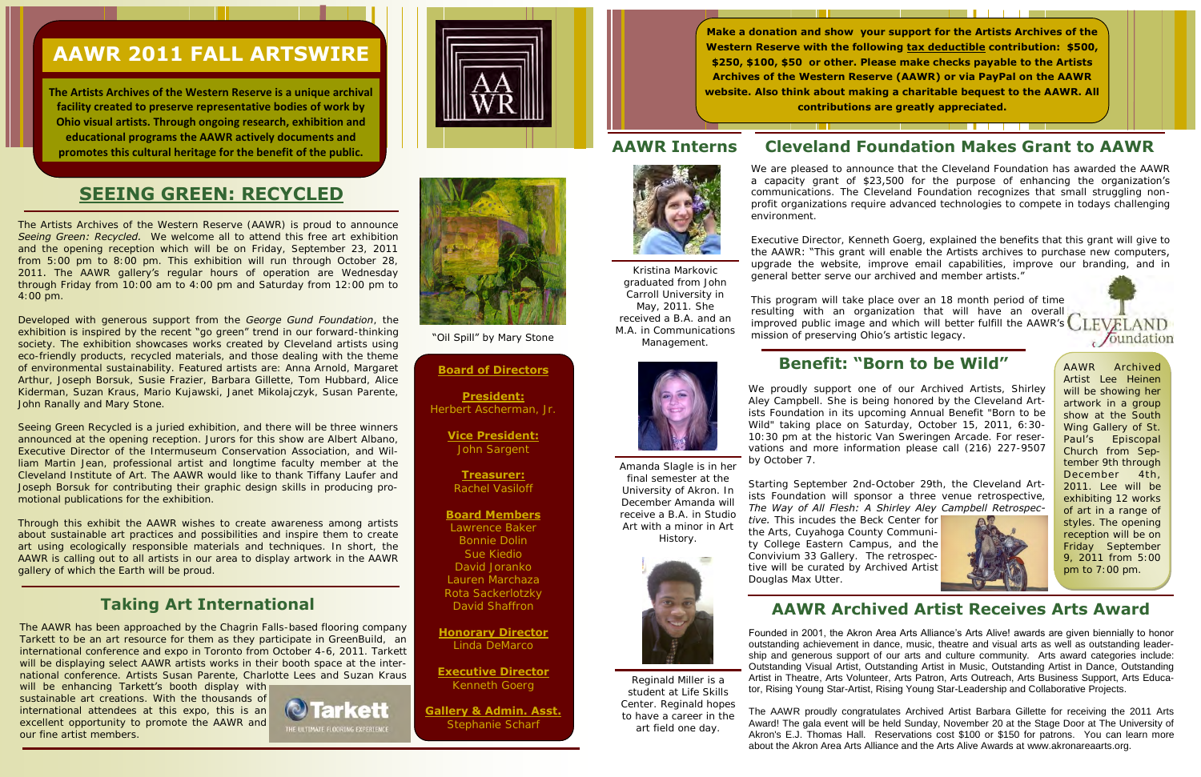# **SEEING GREEN: RECYCLED**

The Artists Archives of the Western Reserve (AAWR) is proud to announce **Seeing Green: Recycled.** We welcome all to attend this free art exhibition and the opening reception which will be on Friday, September 23, 2011 from 5:00 pm to 8:00 pm. This exhibition will run through October 28, 2011. The AAWR gallery's regular hours of operation are Wednesday through Friday from 10:00 am to 4:00 pm and Saturday from 12:00 pm to 4:00 pm.

Developed with generous support from the *George Gund Foundation*, the exhibition is inspired by the recent "go green" trend in our forward-thinking society. The exhibition showcases works created by Cleveland artists using eco-friendly products, recycled materials, and those dealing with the theme of environmental sustainability. Featured artists are: Anna Arnold, Margaret Arthur, Joseph Borsuk, Susie Frazier, Barbara Gillette, Tom Hubbard, Alice Kiderman, Suzan Kraus, Mario Kujawski, Janet Mikolajczyk, Susan Parente, John Ranally and Mary Stone.

Seeing Green Recycled is a juried exhibition, and there will be three winners announced at the opening reception. Jurors for this show are Albert Albano, Executive Director of the Intermuseum Conservation Association, and William Martin Jean, professional artist and longtime faculty member at the Cleveland Institute of Art. The AAWR would like to thank Tiffany Laufer and Joseph Borsuk for contributing their graphic design skills in producing promotional publications for the exhibition.

will be enhancing Tarkett's booth display with sustainable art creations. With the thousands of international attendees at this expo, this is an excellent opportunity to promote the AAWR and our fine artist members.







"Oil Spill" by Mary Stone

Through this exhibit the AAWR wishes to create awareness among artists about sustainable art practices and possibilities and inspire them to create art using ecologically responsible materials and techniques. In short, the AAWR is calling out to all artists in our area to display artwork in the AAWR gallery of which the Earth will be proud.

# **AAWR 2011 FALL ARTSWIRE**

Executive Director, Kenneth Goerg, explained the benefits that this grant will give to the AAWR: "This grant will enable the Artists archives to purchase new computers, upgrade the website, improve email capabilities, improve our branding, and in general better serve our archived and member artists."

**The Artists Archives of the Western Reserve is a unique archival facility created to preserve representative bodies of work by Ohio visual artists. Through ongoing research, exhibition and educational programs the AAWR actively documents and promotes this cultural heritage for the benefit of the public.**

> This program will take place over an 18 month period of time resulting with an organization that will have an overall resulting with an organization that will have an overall CLEVELAND mission of preserving Ohio's artistic legacy.  $\sqrt{\text{oundation}}$

#### **Board of Directors**

**President:** Herbert Ascherman, Jr.

> **Vice President:** John Sargent

**Treasurer:** Rachel Vasiloff

#### **Board Members**

Lawrence Baker Bonnie Dolin Sue Kiedio David Joranko Lauren Marchaza Rota Sackerlotzky David Shaffron

**Honorary Director**  Linda DeMarco

**Executive Director** Kenneth Goerg

**Gallery & Admin. Asst.** Stephanie Scharf

The AAWR has been approached by the Chagrin Falls-based flooring company Tarkett to be an art resource for them as they participate in GreenBuild, an international conference and expo in Toronto from October 4-6, 2011. Tarkett will be displaying select AAWR artists works in their booth space at the international conference. Artists Susan Parente, Charlotte Lees and Suzan Kraus

### **Taking Art International**

Kristina Markovic graduated from John Carroll University in May, 2011. She received a B.A. and an M.A. in Communications Management.



Amanda Slagle is in her final semester at the University of Akron. In December Amanda will receive a B.A. in Studio Art with a minor in Art History.



# **Cleveland Foundation Makes Grant to AAWR**

. . . . . .

We are pleased to announce that the Cleveland Foundation has awarded the AAWR a capacity grant of \$23,500 for the purpose of enhancing the organization's communications. The Cleveland Foundation recognizes that small struggling nonprofit organizations require advanced technologies to compete in todays challenging environment.

**Make a donation and show your support for the Artists Archives of the Western Reserve with the following tax deductible contribution: \$500, \$250, \$100, \$50 or other. Please make checks payable to the Artists Archives of the Western Reserve (AAWR) or via PayPal on the AAWR website. Also think about making a charitable bequest to the AAWR. All contributions are greatly appreciated.** 

#### **AAWR Interns**



### **Benefit: "Born to be Wild"**

We proudly support one of our Archived Artists, Shirley Aley Campbell. She is being honored by the Cleveland Artists Foundation in its upcoming Annual Benefit "Born to be Wild" taking place on Saturday, October 15, 2011, 6:30- 10:30 pm at the historic Van Sweringen Arcade. For reservations and more information please call (216) 227-9507 by October 7.

Starting September 2nd-October 29th, the Cleveland Artists Foundation will sponsor a three venue retrospective, *The Way of All Flesh: A Shirley Aley Campbell Retrospective.* This incudes the Beck Center for the Arts, Cuyahoga County Community College Eastern Campus, and the Convivium 33 Gallery.The retrospective will be curated by Archived Artist Douglas Max Utter.

Reginald Miller is a student at Life Skills Center. Reginald hopes to have a career in the art field one day.

Founded in 2001, the Akron Area Arts Alliance's Arts Alive! awards are given biennially to honor outstanding achievement in dance, music, theatre and visual arts as well as outstanding leadership and generous support of our arts and culture community. Arts award categories include: Outstanding Visual Artist, Outstanding Artist in Music, Outstanding Artist in Dance, Outstanding Artist in Theatre, Arts Volunteer, Arts Patron, Arts Outreach, Arts Business Support, Arts Educator, Rising Young Star-Artist, Rising Young Star-Leadership and Collaborative Projects.

The AAWR proudly congratulates Archived Artist Barbara Gillette for receiving the 2011 Arts Award! The gala event will be held Sunday, November 20 at the Stage Door at The University of Akron's E.J. Thomas Hall. Reservations cost \$100 or \$150 for patrons. You can learn more about the Akron Area Arts Alliance and the Arts Alive Awards at www.akronareaarts.org.



## **AAWR Archived Artist Receives Arts Award**

AAWR Archived Artist Lee Heinen will be showing her artwork in a group show at the South Wing Gallery of St. Paul's Episcopal Church from September 9th through December 4th, 2011. Lee will be exhibiting 12 works of art in a range of styles. The opening reception will be on Friday September 9, 2011 from 5:00 pm to 7:00 pm.